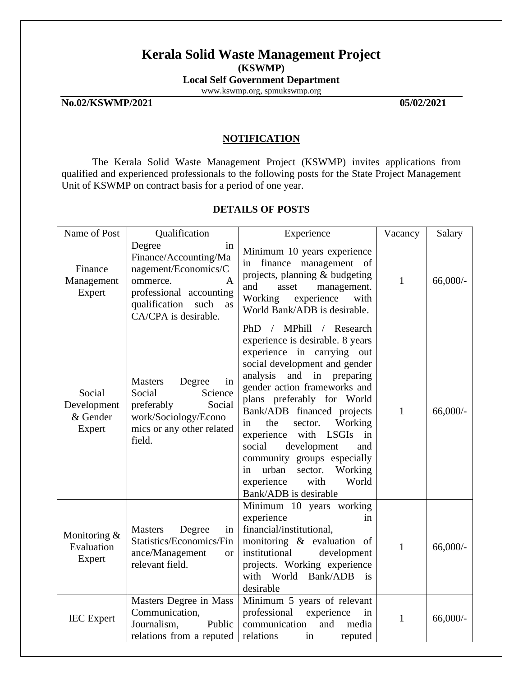# **Kerala Solid Waste Management Project (KSWMP)**

**Local Self Government Department**

[www.kswmp.org,](http://www.kswmp.org/) spmukswmp.org

**No.02/KSWMP/2021 05/02/2021**

# **NOTIFICATION**

The Kerala Solid Waste Management Project (KSWMP) invites applications from qualified and experienced professionals to the following posts for the State Project Management Unit of KSWMP on contract basis for a period of one year.

# **DETAILS OF POSTS**

| Name of Post                                | Qualification                                                                                                                                                    | Experience                                                                                                                                                                                                                                                                                                                                                                                                                                                                                                       | Vacancy      | Salary      |
|---------------------------------------------|------------------------------------------------------------------------------------------------------------------------------------------------------------------|------------------------------------------------------------------------------------------------------------------------------------------------------------------------------------------------------------------------------------------------------------------------------------------------------------------------------------------------------------------------------------------------------------------------------------------------------------------------------------------------------------------|--------------|-------------|
| Finance<br>Management<br>Expert             | Degree<br>in<br>Finance/Accounting/Ma<br>nagement/Economics/C<br>ommerce.<br>A<br>professional accounting<br>qualification<br>such<br>as<br>CA/CPA is desirable. | Minimum 10 years experience<br>finance management<br><sub>of</sub><br>in<br>projects, planning & budgeting<br>and<br>asset<br>management.<br>Working<br>experience<br>with<br>World Bank/ADB is desirable.                                                                                                                                                                                                                                                                                                       | $\mathbf{1}$ | $66,000/$ - |
| Social<br>Development<br>& Gender<br>Expert | <b>Masters</b><br>Degree<br>in<br>Social<br>Science<br>Social<br>preferably<br>work/Sociology/Econo<br>mics or any other related<br>field.                       | MPhill<br>PhD<br>/ Research<br>$\sqrt{2}$<br>experience is desirable. 8 years<br>experience in carrying out<br>social development and gender<br>analysis and in preparing<br>gender action frameworks and<br>plans preferably for World<br>Bank/ADB financed projects<br>Working<br>the<br>sector.<br>in<br>experience<br>with<br><b>LSGIs</b><br>in<br>social<br>development<br>and<br>community groups especially<br>urban<br>sector.<br>Working<br>in<br>experience<br>World<br>with<br>Bank/ADB is desirable | $\mathbf{1}$ | $66,000/$ - |
| Monitoring &<br>Evaluation<br>Expert        | <b>Masters</b><br>Degree<br>in<br>Statistics/Economics/Fin<br>ance/Management<br><b>or</b><br>relevant field.                                                    | Minimum 10 years working<br>experience<br>in.<br>financial/institutional,<br>monitoring & evaluation of<br>institutional<br>development<br>projects. Working experience<br>with World Bank/ADB<br>$\frac{1}{1}$<br>desirable                                                                                                                                                                                                                                                                                     | $\mathbf{1}$ | $66,000/-$  |
| <b>IEC</b> Expert                           | Masters Degree in Mass<br>Communication,<br>Journalism,<br>Public<br>relations from a reputed                                                                    | Minimum 5 years of relevant<br>professional<br>experience<br>in<br>communication<br>and<br>media<br>relations<br>reputed<br>in                                                                                                                                                                                                                                                                                                                                                                                   | $\mathbf{1}$ | $66,000/$ - |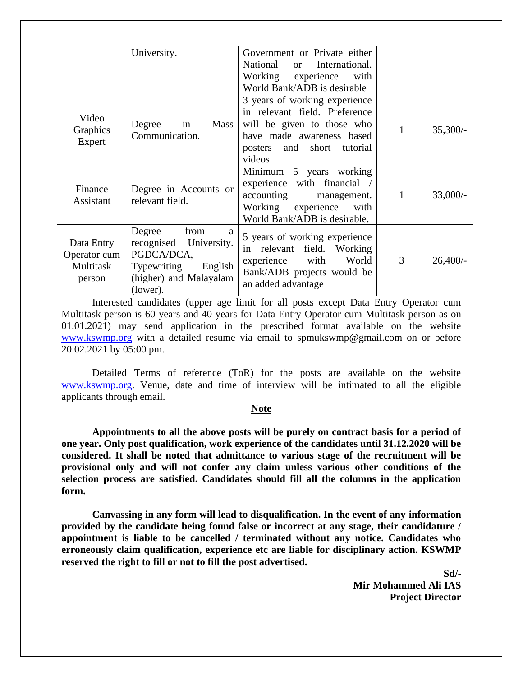|                                                   | University.                                                                                                                        | Government or Private either<br>National<br>International.<br><sub>or</sub><br>Working experience<br>with<br>World Bank/ADB is desirable                              |   |            |
|---------------------------------------------------|------------------------------------------------------------------------------------------------------------------------------------|-----------------------------------------------------------------------------------------------------------------------------------------------------------------------|---|------------|
| Video<br>Graphics<br>Expert                       | Degree<br>Mass<br>in<br>Communication.                                                                                             | 3 years of working experience<br>in relevant field. Preference<br>will be given to those who<br>have made awareness based<br>posters and short<br>tutorial<br>videos. | 1 | $35,300/-$ |
| Finance<br>Assistant                              | Degree in Accounts or<br>relevant field.                                                                                           | Minimum 5 years working<br>experience with financial /<br>accounting<br>management.<br>Working experience<br>with<br>World Bank/ADB is desirable.                     | 1 | $33,000/-$ |
| Data Entry<br>Operator cum<br>Multitask<br>person | from<br>Degree<br>a<br>recognised University.<br>PGDCA/DCA,<br><b>Typewriting</b><br>English<br>(higher) and Malayalam<br>(lower). | 5 years of working experience<br>in relevant field.<br>Working<br>World<br>with<br>experience<br>Bank/ADB projects would be<br>an added advantage                     | 3 | $26,400/-$ |

Interested candidates (upper age limit for all posts except Data Entry Operator cum Multitask person is 60 years and 40 years for Data Entry Operator cum Multitask person as on 01.01.2021) may send application in the prescribed format available on the website [www.kswmp.org](http://www.kswmp.org/) with a detailed resume via email to spmukswmp@gmail.com on or before 20.02.2021 by 05:00 pm.

Detailed Terms of reference (ToR) for the posts are available on the website [www.kswmp.org.](http://www.kswmp.org/) Venue, date and time of interview will be intimated to all the eligible applicants through email.

#### **Note**

**Appointments to all the above posts will be purely on contract basis for a period of one year. Only post qualification, work experience of the candidates until 31.12.2020 will be considered. It shall be noted that admittance to various stage of the recruitment will be provisional only and will not confer any claim unless various other conditions of the selection process are satisfied. Candidates should fill all the columns in the application form.**

**Canvassing in any form will lead to disqualification. In the event of any information provided by the candidate being found false or incorrect at any stage, their candidature / appointment is liable to be cancelled / terminated without any notice. Candidates who erroneously claim qualification, experience etc are liable for disciplinary action. KSWMP reserved the right to fill or not to fill the post advertised.**

> **Sd/- Mir Mohammed Ali IAS Project Director**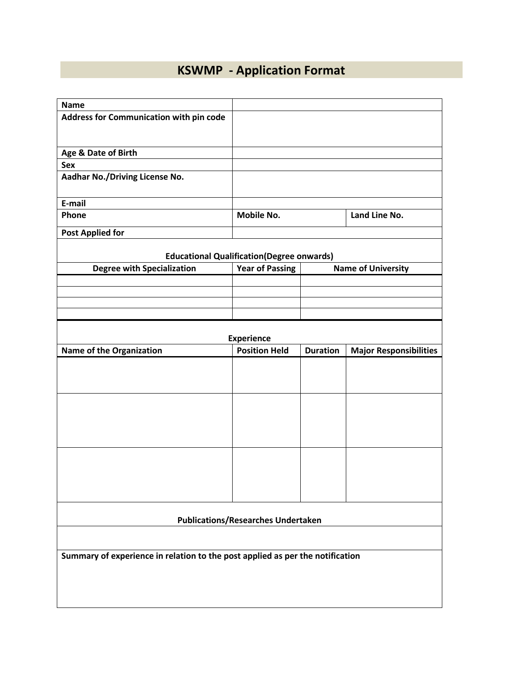# **KSWMP - Application Format**

| <b>Name</b>                                                                   |                                                   |                 |                               |  |  |  |
|-------------------------------------------------------------------------------|---------------------------------------------------|-----------------|-------------------------------|--|--|--|
| Address for Communication with pin code                                       |                                                   |                 |                               |  |  |  |
|                                                                               |                                                   |                 |                               |  |  |  |
|                                                                               |                                                   |                 |                               |  |  |  |
| Age & Date of Birth                                                           |                                                   |                 |                               |  |  |  |
| <b>Sex</b>                                                                    |                                                   |                 |                               |  |  |  |
| Aadhar No./Driving License No.                                                |                                                   |                 |                               |  |  |  |
|                                                                               |                                                   |                 |                               |  |  |  |
| E-mail                                                                        |                                                   |                 |                               |  |  |  |
| Phone                                                                         | Mobile No.                                        |                 | Land Line No.                 |  |  |  |
|                                                                               |                                                   |                 |                               |  |  |  |
| <b>Post Applied for</b>                                                       |                                                   |                 |                               |  |  |  |
|                                                                               | <b>Educational Qualification (Degree onwards)</b> |                 |                               |  |  |  |
| <b>Degree with Specialization</b>                                             | <b>Year of Passing</b>                            |                 | <b>Name of University</b>     |  |  |  |
|                                                                               |                                                   |                 |                               |  |  |  |
|                                                                               |                                                   |                 |                               |  |  |  |
|                                                                               |                                                   |                 |                               |  |  |  |
|                                                                               |                                                   |                 |                               |  |  |  |
|                                                                               | <b>Experience</b>                                 |                 |                               |  |  |  |
| Name of the Organization                                                      | <b>Position Held</b>                              | <b>Duration</b> | <b>Major Responsibilities</b> |  |  |  |
|                                                                               |                                                   |                 |                               |  |  |  |
|                                                                               |                                                   |                 |                               |  |  |  |
|                                                                               |                                                   |                 |                               |  |  |  |
|                                                                               |                                                   |                 |                               |  |  |  |
|                                                                               |                                                   |                 |                               |  |  |  |
|                                                                               |                                                   |                 |                               |  |  |  |
|                                                                               |                                                   |                 |                               |  |  |  |
|                                                                               |                                                   |                 |                               |  |  |  |
|                                                                               |                                                   |                 |                               |  |  |  |
|                                                                               |                                                   |                 |                               |  |  |  |
|                                                                               |                                                   |                 |                               |  |  |  |
|                                                                               |                                                   |                 |                               |  |  |  |
|                                                                               |                                                   |                 |                               |  |  |  |
|                                                                               | <b>Publications/Researches Undertaken</b>         |                 |                               |  |  |  |
|                                                                               |                                                   |                 |                               |  |  |  |
|                                                                               |                                                   |                 |                               |  |  |  |
| Summary of experience in relation to the post applied as per the notification |                                                   |                 |                               |  |  |  |
|                                                                               |                                                   |                 |                               |  |  |  |
|                                                                               |                                                   |                 |                               |  |  |  |
|                                                                               |                                                   |                 |                               |  |  |  |
|                                                                               |                                                   |                 |                               |  |  |  |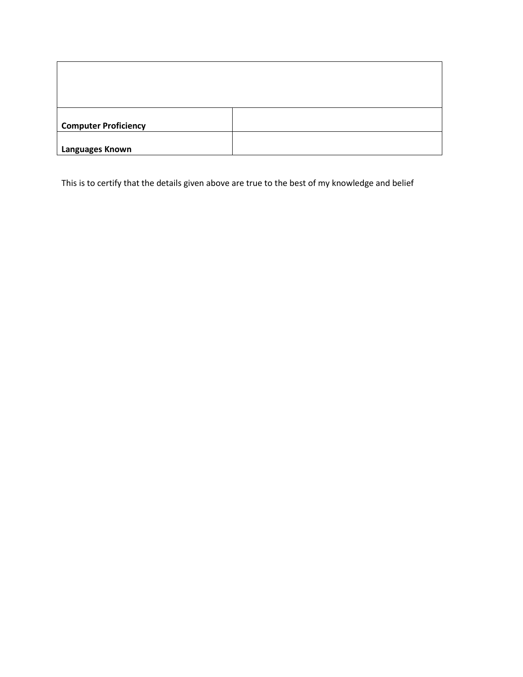| <b>Computer Proficiency</b> |  |
|-----------------------------|--|
|                             |  |
| Languages Known             |  |

This is to certify that the details given above are true to the best of my knowledge and belief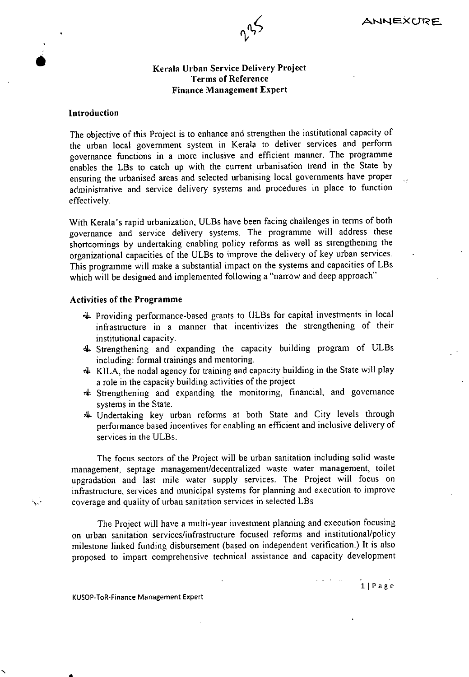

# **16 Kerala Urban Service Delivery Project Terms of Reference Finance Management Expert**

#### **Introduction**

The objective of this Project is to enhance and strengthen the institutional capacity of the urban local government system in Kerala to deliver services and perform governance functions in a more inclusive and efficient manner. The programme enables the LBs to catch up with the current urbanisation trend in the State by ensuring the urbanised areas and selected urbanising local governments have proper administrative and service delivery systems and procedures in place to function effectively.

With Kerala's rapid urbanization, ULBs have been facing challenges in terms of both governance and service delivery systems. The programme will address these shortcomings by undertaking enabling policy reforms as well as strengthening the organizational capacities of the ULBs to improve the delivery of key urban services. This programme will make a substantial impact on the systems and capacities of LBs which will be designed and implemented following a "narrow and deep approach"

#### **Activities of the Programme**

- 4 Providing performance-based grants to ULBs for capital investments in local infrastructure in a manner that incentivizes the strengthening of their institutional capacity.
- 4 Strengthening and expanding the capacity building program of ULBs including: formal trainings and mentoring.
- 4 KILA, the nodal agency for training and capacity building in the State will play a role in the capacity building activities of the project
- 4 Strengthening and expanding the monitoring, financial, and governance systems in the State.
- 4 Undertaking key urban reforms at both State and City levels through perfonnance based incentives for enabling an efficient and inclusive delivery of services in the ULBs.

The focus sectors of the Project will be urban sanitation including solid waste management, septage management/decentralized waste water management, toilet upgradation and last mile water supply services. The Project will focus on infrastructure, services and municipal systems for planning and execution to improve coverage and quality of urban sanitation services in selected LBs

The Project will have a multi-year investment planning and execution focusing on urban sanitation services/infrastructure focused reforms and institutional/policy milestone linked funding disbursement (based on independent verification.) It is also proposed to impart comprehensive technical assistance and capacity development

ij P a g e

KUSOP-ToR-Finance Management Expert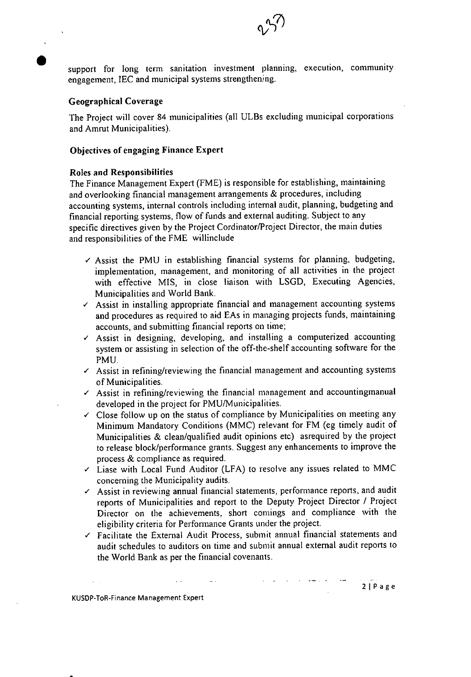support for long term sanitation investment planning, execution, community engagement, JEC and municipal systems strengthening.

#### **Geographical Coverage**

The Project will cover 84 municipalities (all ULBs excluding municipal corporations and Amrut Municipalities).

# **Objectives of engaging Finance Expert**

#### **Roles and Responsibilities**

The Finance Management Expert (FME) is responsible for establishing, maintaining and overlooking financial management arrangements & procedures, including accounting systems, internal controls including internal audit, planning, budgeting and financial reporting systems, flow of funds and external auditing. Subject to any specific directives given by the Project Cordinator/Project Director, the main duties and responsibilities of the FME willinclude

- $\checkmark$  Assist the PMU in establishing financial systems for planning, budgeting, implementation, management, and monitoring of all activities in the project with effective MIS, in close liaison with LSGD, Executing Agencies, Municipalities and World Bank.
- $\checkmark$  Assist in installing appropriate financial and management accounting systems and procedures as required to aid EAs in managing projects funds, maintaining accounts, and submitting financial reports on time;
- $\angle$  Assist in designing, developing, and installing a computerized accounting system or assisting in selection of the off-the-shelf accounting software for the PMU.
- $\sim$  Assist in refining/reviewing the financial management and accounting systems of Municipalities.
- $\angle$  Assist in refining/reviewing the financial management and accountingmanual developed in the project for PMU/Municipalities.
- $\checkmark$  Close follow up on the status of compliance by Municipalities on meeting any Minimum Mandatory Conditions (MMC) relevant for FM (eg timely audit of Municipalities & clean/qualified audit opinions etc) asrequired by the project to release block/performance grants. Suggest any enhancements to improve the process & compliance as required.
- $\checkmark$  Liase with Local Fund Auditor (LFA) to resolve any issues related to MMC concerning the Municipality audits.
- $\angle$  Assist in reviewing annual financial statements, performance reports, and audit reports of Municipalities and report to the Deputy Project Director / Project Director on the achievements, short comings and compliance with the eligibility criteria for Perfonnance Grants under the project.
- $\checkmark$  Facilitate the External Audit Process, submit annual financial statements and audit schedules to auditors on time and submit annual external audit reports to the World Bank as per the financial covenants.

KUSOP-ToR-Finance Management Expert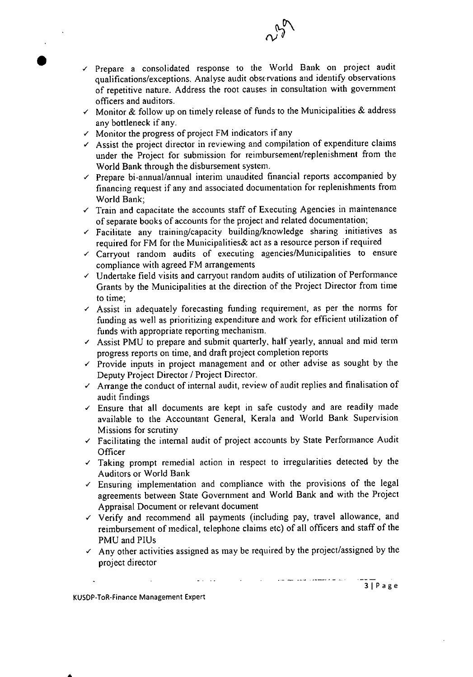

- $\checkmark$  Prepare a consolidated response to the World Bank on project audit qualifications/exceptions. Analyse audit observations and identify observations of repetitive nature. Address the root causes in consultation with government officers and auditors.
- */* Monitor & follow up on timely release of funds to the Municipalities & address any bottleneck if any.
- $\checkmark$  Monitor the progress of project FM indicators if any
- $\sim$  Assist the project director in reviewing and compilation of expenditure claims under the Project for submission for reimbursement/replenishment from the World Bank through the disbursement system.
- $\checkmark$  Prepare bi-annual/annual interim unaudited financial reports accompanied by financing request if any and associated documentation for replenishments from World Bank;
- $\checkmark$  Train and capacitate the accounts staff of Executing Agencies in maintenance of separate books of accounts for the project and related documentation;
- $\checkmark$  Facilitate any training/capacity building/knowledge sharing initiatives as required for FM for the Municipalities& act as a resource person if required
- */* Carryout random audits of executing agencies/Municipalities to ensure compliance with agreed FM arrangements
- $\checkmark$  Undertake field visits and carryout random audits of utilization of Performance Grants by the Municipalities at the direction of the Project Director from time to time;
- $\angle$  Assist in adequately forecasting funding requirement, as per the norms for funding as well as prioritizing expenditure and work for efficient utilization of funds with appropriate reporting mechanism.
- $\sim$  Assist PMU to prepare and submit quarterly, half yearly, annual and mid term progress reports on time, and draft project completion reports
- $\checkmark$  Provide inputs in project management and or other advise as sought by the Deputy Project Director / Project Director.
- $\checkmark$  Arrange the conduct of internal audit, review of audit replies and finalisation of audit findings
- $\checkmark$  Ensure that all documents are kept in safe custody and are readily made available to the Accountant General, Kerala and World Bank Supervision Missions for scrutiny
- $\checkmark$  Facilitating the internal audit of project accounts by State Performance Audit **Officer**
- $\checkmark$  Taking prompt remedial action in respect to irregularities detected by the Auditors or World Bank
- */* Ensuring implementation and compliance with the provisions of the legal agreements between State Government and World Bank and with the Project Appraisal Document or relevant document
- $\checkmark$  Verify and recommend all payments (including pay, travel allowance, and reimbursement of medical, telephone claims etc) of all officers and staff of the PMU and PIUs
- $\sim$  Any other activities assigned as may be required by the project/assigned by the project director

-

**KUSOP-ToR-Finance Management Expert** 

**S**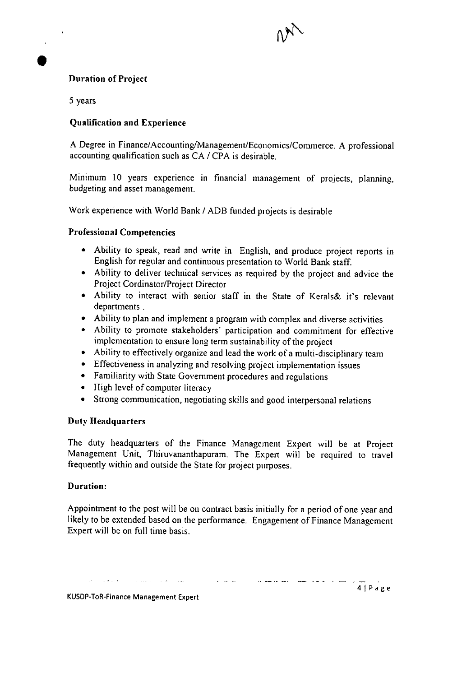# Duration of Project

5 years

 $\begin{pmatrix} 1 \\ 1 \\ 2 \end{pmatrix}$ 

# Qualification and Experience

A Degree in Finance/Accounting/Management/Economics/Commerce. A professional accounting qualification such as CA / CPA is desirable.

Minimum 10 years experience in financial management of projects, planning, budgeting and asset management.

Work experience with World Bank / ADB funded projects is desirable

# Professional Competencies

- Ability to speak, read and write in English, and produce project reports in English for regular and continuous presentation to World Bank staff.
- Ability to deliver technical services as required by the project and advice the Project Cordinator/Project Director
- Ability to interact with senior staff in the State of Kerals& it's relevant departments.
- Ability to plan and implement a program with complex and diverse activities
- Ability to promote stakeholders' participation and commitment for effective implementation to ensure long term sustainability of the project
- Ability to effectively organize and lead the work of a multi-disciplinary team
- Effectiveness in analyzing and resolving project implementation issues
- Familiarity with State Government procedures and regulations
- High level of computer literacy
- Strong communication, negotiating skills and good interpersonal relations

# Duty Headquarters

The duty headquarters of the Finance Management Expert will be at Project Management Unit, Thiruvananthapuram. The Expert will be required to travel frequently within and outside the State for project purposes.

#### Duration:

Appointment to the post will be on contract basis initially for a period of one year and likely to be extended based on the performance. Engagement of Finance Management Expert will be on full time basis.

.<br>والطبق على سيطرو يصور الإسلام والمتعاقل المناسبة المناسبة عن المناسبة المناسبة المناسبة والمناسبة المناسبة الم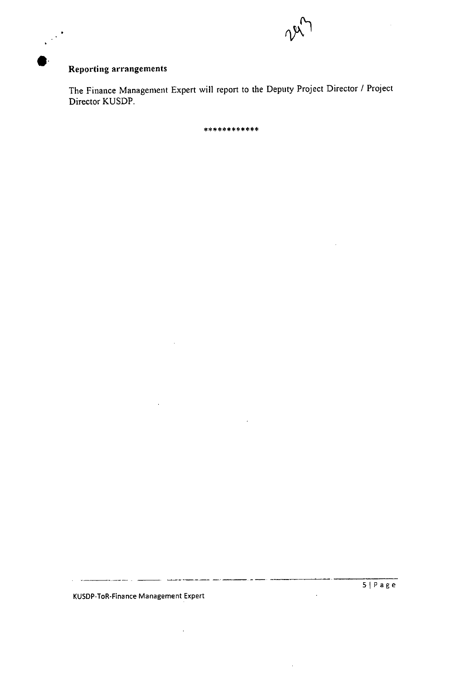

# I Reporting arrangements

The Finance Management Expert will report to the Deputy Project Director / Project Director KUSDP.

\*\*\*\*\*\*\*\*\*\*\*\*

KUSDP-ToR-Finance Management Expert

alaman a sh

 $\hat{\boldsymbol{\theta}}$ 

. . .

لمستنبذ

 $\bar{z}$ 

 $\ddot{\phantom{a}}$ 

l,

 $\ddot{\phantom{a}}$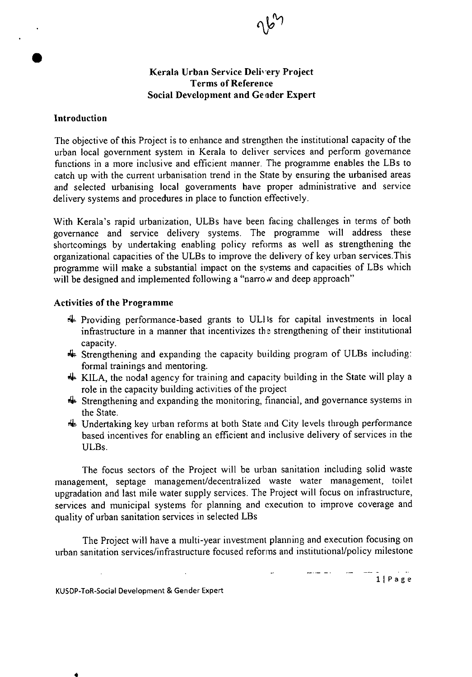

# **Kerala Urban Service Deli' ery Project Terms of Reference Social Development and Gender Expert**

#### **Introduction**

 $\bullet$ 

The objective of this Project is to enhance and strengthen the institutional capacity of the urban local government system in Kerala to deliver services and perform governance functions in a more inclusive and efficient manner. The programme enables the LBs to catch up with the current urbanisation trend in the State by ensuring the urbanised areas and selected urbanising local governments have proper administrative and service delivery systems and procedures in place to function effectively.

With Kerala's rapid urbanization, ULBs have been facing challenges in terms of both governance and service delivery systems. The programme will address these shortcomings by undertaking enabling policy reforms as well as strengthening the organizational capacities of the ULBs to improve the delivery of key urban services.This programme will make a substantial impact on the systems and capacities of LBs which will be designed and implemented following a "narrow and deep approach"

# **Activities of the Programme**

- 4 Providing performance-based grants to ULI is for capital investments in local infrastructure in a manner that incentivizes the strengthening of their institutional capacity.
- 4 Strengthening and expanding the capacity building program of ULBs including: formal trainings and mentoring.
- $\#$  KILA, the nodal agency for training and capacity building in the State will play a role in the capacity building activities of the project
- 4 Strengthening and expanding the monitoring, financial, and governance systems in the State.
- 4 Undertaking key urban reforms at both State and City levels through performance based incentives for enabling an efficient and inclusive delivery of services in the ULBs.

The focus sectors of the Project will be urban sanitation including solid waste management, septage management/decentralized waste water management, toilet upgradation and last mile water supply services. The Project will focus on infrastructure, services and municipal systems for planning and execution to improve coverage and quality of urban sanitation services in selected LBs

The Project will have a multi-year investment planning and execution focusing on urban sanitation services/infrastructure focused reforms and institutional/policy milestone

ii P a g e

KUSOP-ToR-Social Development & Gender Expert

4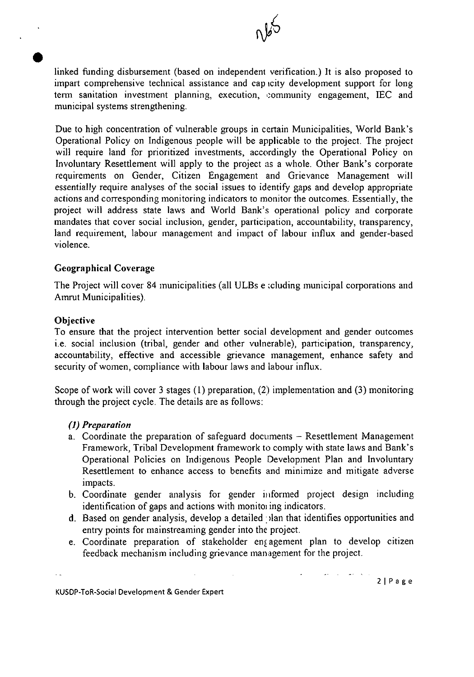

linked Finding disbursement (based on independent verification.) It is also proposed to impart comprehensive technical assistance and cap icity development support for long term sanitation investment planning, execution, community engagement, IEC and municipal systems strengthening.

Due to high concentration of vulnerable groups in certain Municipalities, World Bank's Operational Policy on Indigenous people will be applicable to the project. The project will require land for prioritized investments, accordingly the Operational Policy on Involuntary Resettlement will apply to the project as a whole. Other Bank's corporate requirements on Gender, Citizen Engagement and Grievance Management will essentially require analyses of the social issues to identify gaps and develop appropriate actions and corresponding monitoring indicators to monitor the outcomes. Essentially, the project will address state laws and World Bank's operational policy and corporate mandates that cover social inclusion, gender, participation, accountability, transparency, land requirement, labour management and impact of labour influx and gender-based violence.

# Geographical Coverage

The Project will cover 84 municipalities (all ULBs e cluding municipal corporations and Amrut Municipalities).

# **Objective**

**S** 

To ensure that the project intervention better social development and gender outcomes i.e. social inclusion (tribal, gender and other vulnerable), participation, transparency, accountability, effective and accessible grievance management, enhance safety and security of women, compliance with labour laws and labour influx.

Scope of work will cover 3 stages (1) preparation, (2) implementation and (3) monitoring through the project cycle. The details are as follows:

# *(7) Preparation*

- a. Coordinate the preparation of safeguard documents Resettlement Management Framework, Tribal Development framework to comply with state laws and Bank's Operational Policies on Indigenous People Development Plan and Involuntary Resettlement to enhance access to benefits and minimize and mitigate adverse impacts.
- Coordinate gender analysis for gender informed project design including identification of gaps and actions with monitoi ing indicators.
- Based on gender analysis, develop a detailed :)lan that identifies opportunities and entry points for mainstreaming gender into the project.
- e. Coordinate preparation of stakeholder engagement plan to develop citizen feedback mechanism including grievance management for the project.

KUSDP-ToR-Social Development & Gender Expert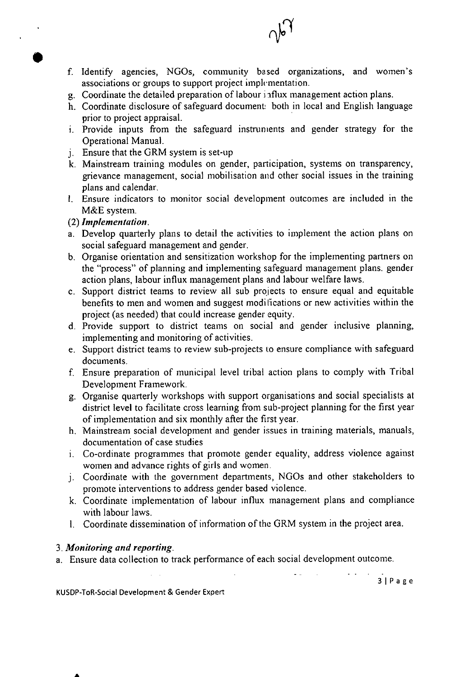f. Identify agencies, NGOs, community based organizations, and women's associations or groups to support project implcmentation.

 $\gamma_{\alpha}$ 

- Coordinate the detailed preparation of labour i iflux management action plans.
- Coordinate disclosure of safeguard document: both in local and English language prior to project appraisal.
- Provide inputs from the safeguard instruments and gender strategy for the Operational Manual.
- Ensure that the GRM system is set-up
- Mainstream training modules on gender, participation, systems on transparency, grievance management, social mobilisation and other social issues in the training plans and calendar.
- I. Ensure indicators to monitor social development outcomes are included in the M&E system.

# (2) Implementation.

- Develop quarterly plans to detail the activities to implement the action plans on social safeguard management and gender.
- Organise orientation and sensitization workshop for the implementing partners on the "process" of planning and implementing safeguard management plans. gender action plans, labour influx management plans and labour welfare laws.
- Support district teams to review all sub projects to ensure equal and equitable benefits to men and women and suggest moditications or new activities within the project (as needed) that could increase gender equity.
- d. Provide support to district teams on social and gender inclusive planning, implementing and monitoring of activities.
- Support district teams to review sub-projects to ensure compliance with safeguard documents.
- Ensure preparation of municipal level tribal action plans to comply with Tribal Development Framework.
- Organise quarterly workshops with support organisations and social specialists at district level to facilitate cross learning from sub-project planning for the first year of implementation and six monthly after the first year.
- h. Mainstream social development and gender issues in training materials, manuals, documentation of case studies
- Co-ordinate programmes that promote gender equality, address violence against women and advance rights of girls and women.
- Coordinate with the government departments, NOOs and other stakeholders to promote interventions to address gender based violence.
- Coordinate implementation of labour influx management plans and compliance with labour laws.
- I. Coordinate dissemination of information of the GRM system in the project area.

# 3. Monitoring and reporting.

S

a. Ensure data collection to track performance of each social development outcome.

**31 P a g e** 

**KUSDP-ToR-Social Development** & Gender Expert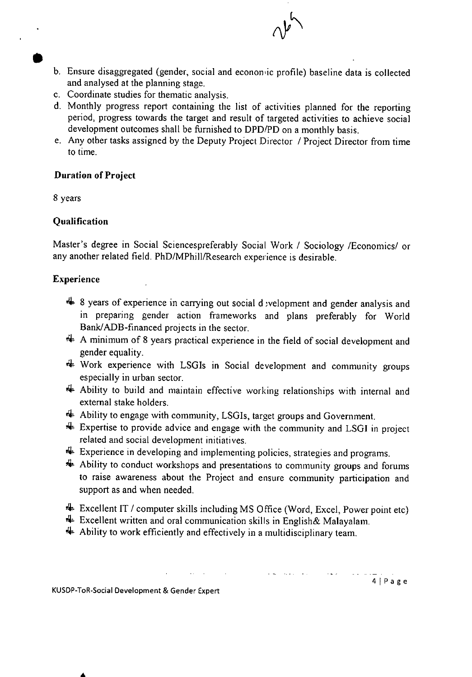- b. Ensure disaggregated (gender, social and economic profile) baseline data is collected and analysed at the planning stage.
- Coordinate studies for thematic analysis.
- Monthly progress report containing the list of activities planned for the reporting period, progress towards the target and result of targeted activities to achieve social development outcomes shall be furnished to DPD/PD on a monthly basis.
- Any other tasks assigned by the Deputy Project Director / Project Director from time to time.

# **Duration of Project**

8 years

# **Qualification**

Master's degree in Social Sciencespreferably Social Work / Sociology /Economics/ or any another related field. PhD/MPhill/Research experience is desirable.

# **Experience**

- **4** 8 years of experience in carrying out social d welopment and gender analysis and in preparing gender action frameworks and plans preferably for World Bank/ADB-financed projects in the sector.
- $\#$  A minimum of 8 years practical experience in the field of social development and gender equality.
- 4 Work experience with LSGIs in Social development and community groups especially in urban sector.
- 4 Ability to build and maintain effective working relationships with internal and external stake holders.
- 4 Ability to engage with community, LSGIs, target groups and Government.
- $\bigoplus$  Expertise to provide advice and engage with the community and LSGI in project related and social development initiatives.
- 4 Experience in developing and implementing policies, strategies and programs.
- 4 Ability to conduct workshops and presentations to community groups and forums to raise awareness about the Project and ensure community participation and support as and when needed.
- 4 Excellent IT / computer skills including MS Office (Word, Excel, Power point etc)

 $-$ <br>4 | P a g e

- $\triangleq$  Excellent written and oral communication skills in English& Malayalam.
- $\triangleq$  Ability to work efficiently and effectively in a multidisciplinary team.

 $\mathcal{L}(\mathcal{A},\mathcal{A})$  . The set of  $\mathcal{A}$ 

KUSDP-ToR.Social Development & Gender Expert

A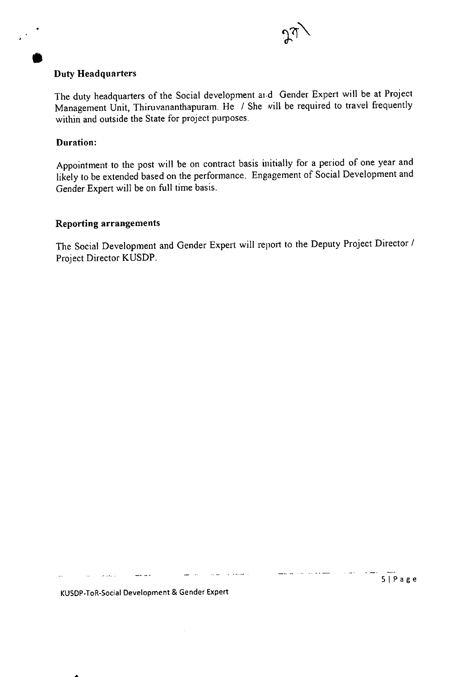

5 1 P **a g e** 

# **Duty Headquarters**

The duty headquarters of the Social development aid Gender Expert will be at Project Management Unit, Thiruvananthapuram. He / She will be required to travel frequently within and outside the State for project purposes.

# **Duration:**

 $\bullet$ 

Appointment to the post will be on contract basis initially for a period of one year and likely to be extended based on the performance. Engagement of Social Development and Gender Expert will be on full time basis.

# **Reporting arrangements**

The Social Development and Gender Expert will report to the Deputy Project Director / Project Director KUSDP.

المستحدث القائل

للتفاوي والمرابط المتعارف

**KUSDP-ToR-Social Development** & **Gender Expert** 

 $\overline{a}$   $\overline{a}$   $\overline{a}$ 

**Contractor**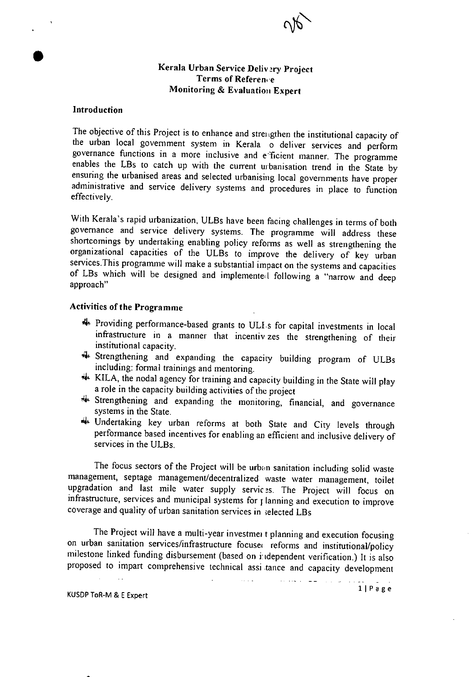

**Kerala Urban Service Delivery Project Terms of Reference** Monitoring & Evaluation **Expert** 

#### **Jntroductjon**

The objective of this Project is to enhance and strengthen the institutional capacity of the urban local government system in Kerala o deliver services and perform governance functions in a more inclusive and e'ficient manner. The programme enables the LBs to catch up with the current uibanisation trend in the State by ensuring the urbanised areas and selected urbanising local governments have proper administrative and service delivery systems and procedures in place to function effectively.

With Kerala's rapid urbanization, ULBs have been facing challenges in terms of both governance and service delivery systems. The programme will address these shortcomings by undertaking enabling policy reforms as well as strengthening the organizational capacities of the ULBs to improve the delivery of key urban services.This programme will make a substantial impact on the systems and capacities of LBs which will be designed and implemented following a "narrow and deep approach"

#### Activities of **the Programme**

- 4 Providing performance-based grants to ULIs for capital investments in local infrastructure in a manner that incentiv zes the strengthening of their institutional capacity.
- 4 Strengthening and expanding the capacity building program of ULBs including: formal trainings and mentoring.
- 4 KILA, the nodal agency for training and capacity building in the State will play a role in the capacity building activities of the project
- 4 Strengthening and expanding the monitoring, financial, and governance systems in the State.
- 4 Undertaking key urban reforms at both State and City levels through perfonnance based incentives for enabling an efficient and inclusive delivery of services in the ULBs.

The focus sectors of the Project will be urban sanitation including solid waste management, septage management/decentralized waste water management, toilet upgradation and last mile water supply services. The Project will focus on infrastructure, services and municipal systems for planning and execution to improve coverage and quality of urban sanitation services in ;elected LBs

The Project will have a multi-year investmei t planning and execution focusing on urban sanitation services/infrastructure focuse reforms and institutional/policy milestone linked funding disbursement (based on independent verification.) It is also proposed to impart comprehensive technical assi tance and capacity development

 $\sim 10$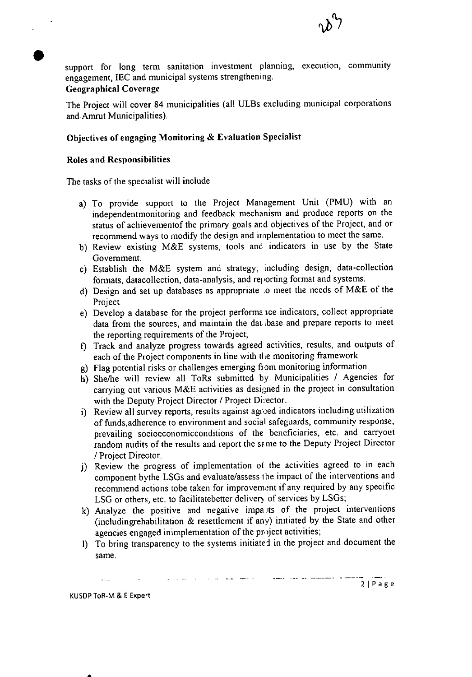

support for long term sanitation investment planning, execution, community engagement, JEC and municipal systems strengthening. **Geographical Coverage** 

# The Project will cover 84 municipalities (all ULBs excluding municipal corporations and Amrut Municipalities).

# **Objectives of engaging Monitoring & Evaluation Specialist**

# **Roles and Responsibilities**

The tasks of the specialist will include

- To provide support to the Project Management Unit (PMU) with an independentmonitoring and feedback mechanism and produce reports on the status of achievementof the primary goals and objectives of the Project, and or recommend ways to modify the design and implementation to meet the same.
- b) Review existing M&E systems, tools and indicators in use by the State Government.
- Establish the M&E system and strategy, including design, data-collection formats, datacollection, data-analysis, and rej orting format and systems.
- Design and set up databases as appropriate :0 meet the needs of M&E of the Project
- Develop a database for the project performa ice indicators, collect appropriate data from the sources, and maintain the dat base and prepare reports to meet the reporting requirements of the Project;
- Track and analyze progress towards agreed activities, results, and outputs of each of the Project components in line with the monitoring framework
- Flag potential risks or challenges emerging from monitoring information
- She/he will review all ToRs submitted by Municipalities / Agencies for carrying out various M&E activities as designed in the project in consultation with the Deputy Project Director / Project Director.
- Review all survey reports, results against agreed indicators including utilization of funds,adherence to environment and social safeguards, community response, prevailing socioeconomicconditions of the beneficiaries, etc. and carryout random audits of the results and report the same to the Deputy Project Director / Project Director.
- j) Review the progress of implementation of the activities agreed to in each component bythe LSGs and evaluate/assess the impact of the interventions and recommend actions tobe taken for improvement if any required by any specific LSG or others, etc. to facilitatebetter delivery of services by LSGs;
- k) Analyze the positive and negative imparts of the project interventions (includingrehabilitation & resettlement if any) initiated by the State and other agencies engaged inimplementation of the project activities;
- I) To bring transparency to the systems initiated in the project and document the same.

KUSDP ToR-M & E Expert

a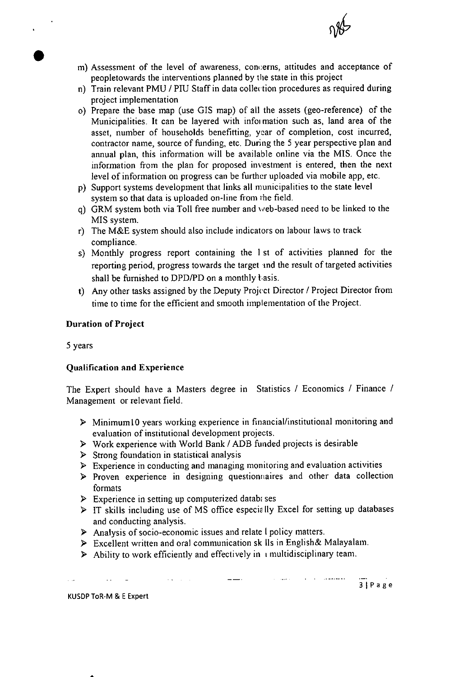

- Assessment of the level of awareness, concerns, attitudes and acceptance of peopletowards the interventions planned by the state in this project
- n) Train relevant PMU / PIU Staff in data collection procedures as required during project implementation
- o) Prepare the base map (use GIS map) of all the assets (geo-reference) of the Municipalities. It can be layered with infoi mation such as, land area of the asset, number of households benefitting, year of completion, cost incurred, contractor name, source of funding, etc. During the *5* year perspective plan and annual plan, this information will be available online via the MIS. Once the information from the plan for proposed investment is entered, then the next level of information on progress can be further uploaded via mobile app, etc.
- p) Support systems development that links all municipalities to the state level system so that data is uploaded on-line from ihe field.
- g) GRM system both via Toll free number and web-based need to be linked to the MIS system.
- r) The M&E system should also include indicators on labour laws to track compliance.
- s) Monthly progress report containing the 1st of activities planned for the reporting period, progress towards the target md the result of targeted activities shall be furnished to DPD/PD on a monthly  $t$  asis.
- Any other tasks assigned by the Deputy Project Director / Project Director from time to time for the efficient and smooth implementation of the Project.

# **Duration of Project**

5 years

# **Qualification and Experience**

The Expert should have a Masters degree in Statistics / Economics / Finance / Management or relevant field.

- > MinimumlO years working experience in financial/institutional monitoring and evaluation of institutional development projects.
- > Work experience with World Bank / ADB funded projects is desirable
- $\triangleright$  Strong foundation in statistical analysis
- > Experience in conducting and managing monitoring and evaluation activities
- > Proven experience in designing questionnaires and other data collection formats
- $\triangleright$  Experience in setting up computerized datable ses

 $\sim$   $\sim$ 

- $\triangleright$  IT skills including use of MS office especially Excel for setting up databases and conducting analysis.
- ) Analysis of socio-economic issues and relate I policy matters.
- > Excellent written and oral communication sk Ils in English& Malayalam.
- $\triangleright$  Ability to work efficiently and effectively in unultidisciplinary team.

KUSDP ToR-M & E Expert

3 | Page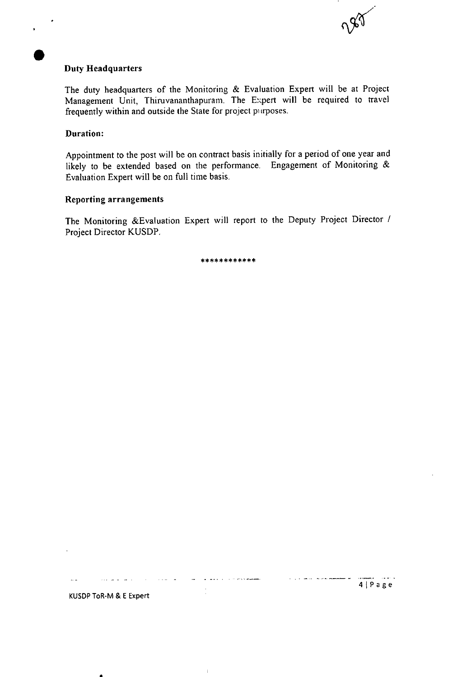# **Duty Headquarters**

The duty headquarters of the Monitoring & Evaluation Expert will be at Project Management Unit, Thiruvananthapuram. The Expert will be required to travel frequently within and outside the State for project purposes.

#### **Duration:**

Appointment to the post will be on contract basis initially for a period of one year and likely to be extended based on the performance. Engagement of Monitoring & Evaluation Expert will be on full time basis.

#### Reporting arrangements

The Monitoring &Evaluation Expert will report to the Deputy Project Director *<sup>I</sup>* Project Director KUSDP.

\*\* \*\* \* \*\* \* \*\* \* \*

للمتمام وللرابط والرواوي

 $\frac{1}{2}$ 

à.

المناصب المتناسي الرودية

 $\sim$ 

 $\sim$   $\sim$   $\sim$ 

 $\sim$   $\sim$ 

188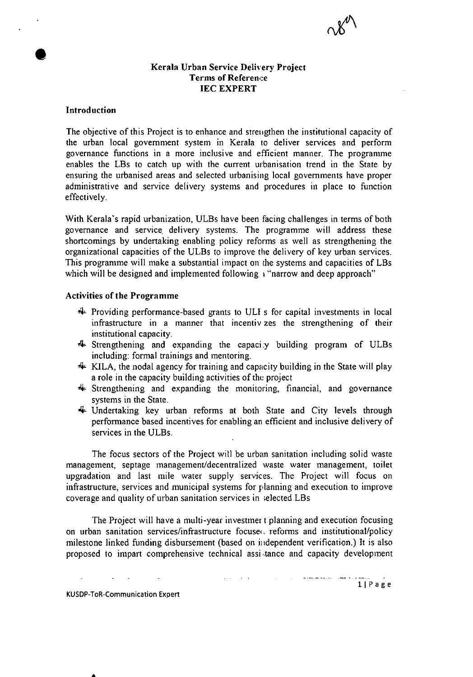

# **Kerala Urban Service Delivery Project Terms of Reference JEC EXPERT**

# **Introduction**

The objective of this Project is to enhance and strengthen the institutional capacity of the urban local government system in Kerala to deliver services and perform governance functions in a more inclusive and efficient manner. The programme enables the LBs to catch up with the current urbanisation trend in the State by ensuring the urbanised areas and selected urbanising local governments have proper administrative and service delivery systems and procedures in place to function effectively.

With Kerala's rapid urbanization, ULBs have been facing challenges in terms of both governance and service delivery systems. The programme will address these shortcomings by undertaking enabling policy reforms as well as strengthening the organizational capacities of the ULBs to improve the delivery of key urban services. This programme will make a substantial impact on the systems and capacities of LBs which will be designed and implemented following i "narrow and deep approach"

#### **Activities of the Programme**

- 4. Providing performance-based grants to ULI s for capital investments in local infrastructure in a manner that incentiv zes the strengthening of their institutional capacity.
- 4 Strengthening and expanding the capaci ;y building program of ULBs including: formal trainings and mentoring.
- 4 KILA, the nodal agency for training and capacity building in the State will play a role in the capacity building activities of the project
- 4 Strengthening and expanding the monitoring, financial, and governance systems in the State.
- 4 Undertaking key urban reforms at both State and City levels through performance based incentives for enabling an efficient and inclusive delivery of services in the ULBs.

The focus sectors of the Project will be urban sanitation including solid waste management, septage management/decentralized waste water management, toilet upgradation and last mile water supply services. The Project will focus on infrastructure, services and municipal systems for planning and execution to improve coverage and quality of urban sanitation services in ;elected LBs

The Project will have a multi-year investmer t planning and execution focusing on urban sanitation services/infrastructure focuse. reforms and institutional/policy milestone linked funding disbursement (based on independent verification.) It is also proposed to impart comprehensive technical assi.tance and capacity development

ii P a g e

KUSDP-ToR-Communication Expert

 $\bullet$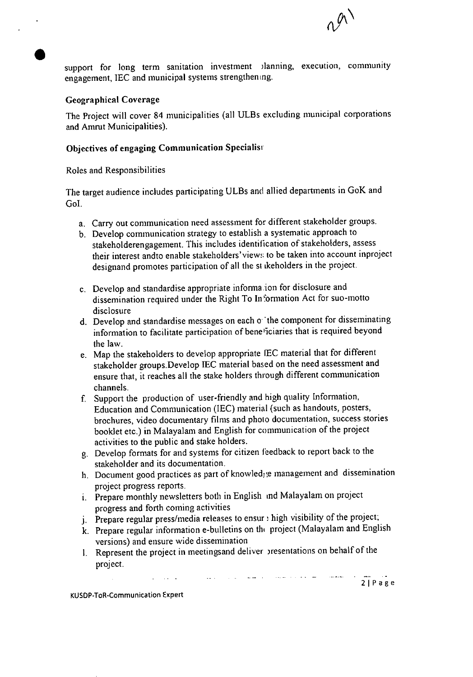

support for long term sanitation investment *planning*, execution, community engagement, IEC and municipal systems strengthening.

# Geographical Coverage

The Project will cover 84 municipalities (all ULBs excluding municipal corporations and Amrut Municipalities).

# **Objectives of** engaging Communication Specialisi

Roles and Responsibilities

The target audience includes participating ULBs and allied departments in GoK and Gol.

- Carry out communication need assessment for different stakeholder groups.
- Develop communication strategy to establish a systematic approach to stakeholderengagement. This includes identification of stakeholders, assess their interest andto enable stakeholders'view; to be taken into account inproject designand promotes participation of all the st ikeholders in the project.
- Develop and standardise appropriate informa ion for disclosure and dissemination required under the Right To Information Act for suo-motto disclosure
- d. Develop and standardise messages on each o the component for disseminating information to facilitate participation of bene "iciaries that is required beyond the law.
- Map the stakeholders to develop appropriate IEC material that for different stakeholder groups.Develop IEC material based on the need assessment and ensure that, it reaches all the stake holders through different communication channels.
- Support the production of user-friendly and high quality Information, Education and Communication (IEC) material (such as handouts, posters, brochures, video documentary films and photo documentation, success stories booklet etc.) in Malayalam and English for communication of the project activities to the public and stake holders.
- Develop formats for and systems for citizen feedback to report back to the stakeholder and its documentation.
- h. Document good practices as part of knowled; e management and dissemination project progress reports.
- Prepare monthly newsletters both in English md Malayalam on project progress and forth coming activities
- j. Prepare regular press/media releases to ensur : high visibility of the project;
- k. Prepare regular information e-bulletins on the project (Malayalam and English versions) and ensure wide dissemination

 $\sim$   $-$ 

2 | Page

I. Represent the project in meetingsand deliver )resentations on behalf of the project.

 $\mathbb{Z}^2$  .

 $\mathcal{L}(\mathcal{L})=\mathcal{L}(\mathcal{L})$ 

KUSDP-T0R-Communication Expert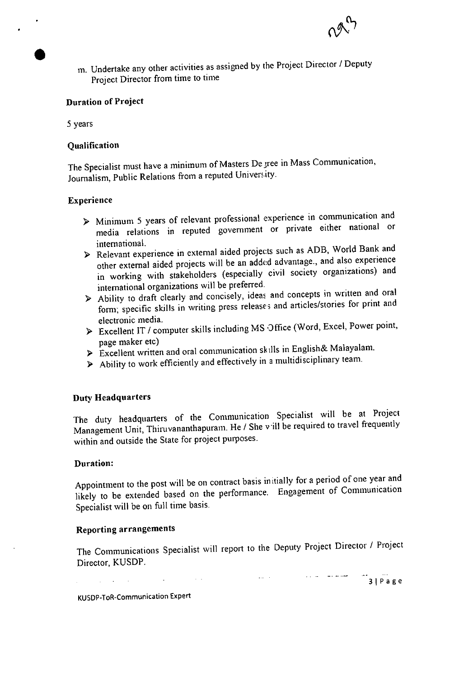

m. Undertake any other activities as assigned by the Project Director / Deputy Project Director from time to time

#### **Duration of Project**

5 years

# Qualification

The Specialist must have a minimum of Masters De gree in Mass Communication, Journalism, Public Relations from a reputed University.

#### **Experience**

- > Minimum 5 years of relevant professional experience in communication and media relations in reputed government or private either national or international.
- > Relevant experience in external aided projects such as ADB, World Bank and other external aided projects will be an added advantage., and also experience in working with stakeholders (especially civil society organizations) and international organizations will be preferred.
- > Ability to draft clearly and concisely, ideas and concepts in written and oral form; specific skills in writing press releases and articles/stories for print and electronic media.
- > Excellent IT / computer skills including MS Office (Word, Excel, Power point, page maker etc)
- > Excellent written and oral communication skills in English& Malayalam.
- ) Ability to work efficiently and effectively in a multidisciplinary team.

#### Duty **Headquarters**

The duty headquarters of the Communication Specialist will be at Project Management Unit, Thiruvananthapuram. He / She v ill be required to travel frequently within and outside the State for project purposes.

#### **Duration:**

Appointment to the post will be on contract basis in tially for a period of one year and likely to be extended based on the performance. Engagement of Communication Specialist will be on full time basis.

# Reporting arrangements

The Communications Specialist will report to the Deputy Project Director / Project Director, KUSDP.

 $\mathcal{L}^{\pm}$  ,  $\mathcal{L}$ 

 $\mathbf{L}(\mathbf{L}^{\text{max}})$ 

3Page

KUSDP-ToR-Communication Expert

 $\mathbb{Z}^2$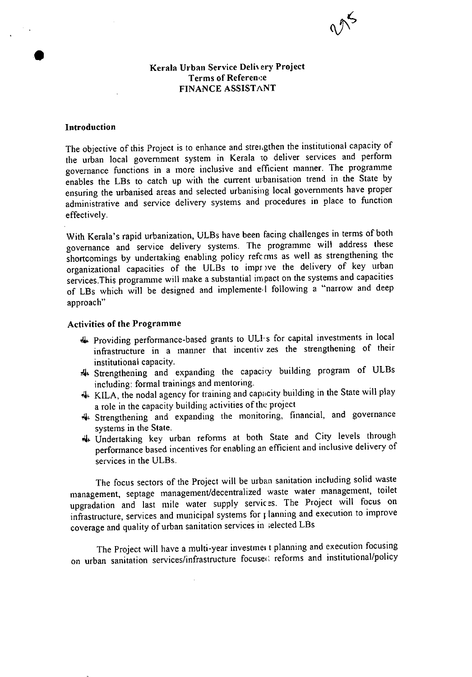

# Kerala Urban Service Delivery Project Terms of Reference FINANCE ASSISTANT

#### **Introduction**

The objective of this Project is to enhance and streigthen the institutional capacity of the urban local government system in Kerala to deliver services and perform governance functions in a more inclusive and efficient manner. The programme enables the LBs to catch up with the current urbanisation trend in the State by ensuring the urbanised areas and selected urbanising local governments have proper administrative and service delivery systems and procedures in place to function effectively.

With Kerala's rapid urbanization, ULBs have been facing challenges in terms of both governance and service delivery systems. The programme will address these shortcomings by undertaking enabling policy refccms as well as strengthening the organizational capacities of the ULBs to impr ve the delivery of key urban services. This programme will make a substantial impact on the systems and capacities of LBs which will be designed and implementel following a "narrow and deep approach"

#### **Activities of the Programme**

- 4 Providing performance-based grants to ULIs for capital investments in local infrastructure in a manner that incentiv zes the strengthening of their institutional capacity.
- 4 Strengthening and expanding the capacicy building program of ULBs including: formal trainings and mentoring.
- 4 KILA, the nodal agency for training and capacity building in the State will play a role in the capacity building activities of the project
- 4 Strengthening and expanding the monitoring, financial, and governance systems in the State.
- 4 Undertaking key urban refonris at both State and City levels through performance based incentives for enabling an efficient and inclusive delivery of services in the ULBs.

The focus sectors of the Project will be urban sanitation including solid waste management, septage management/decentralized waste water management, toilet upgradation and last mile water supply services. The Project will focus on infrastructure, services and municipal systems for planning and execution to improve coverage and quality of urban sanitation services in ;elected LBs

The Project will have a multi-year investment planning and execution focusing on urban sanitation services/infrastructure focused reforms and institutional/policy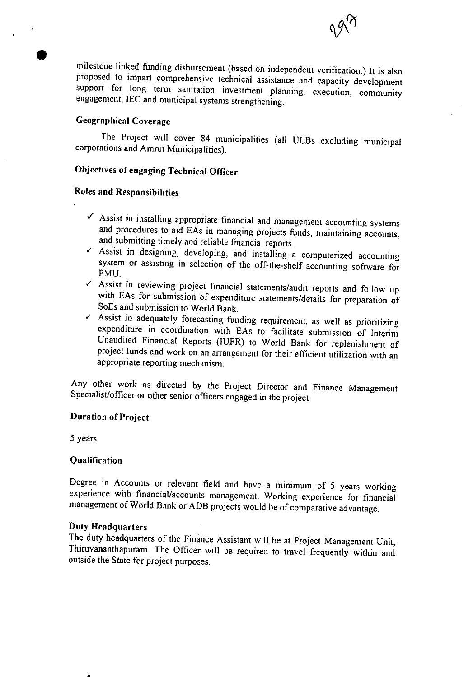

milestone linked thnding disbursement (based on independent verification.) It is also proposed to impart comprehensive technical assistance and capacity development support for long term sanitation investment planning, execution, community engagement, IEC and municipal systems strengthening.

# **Geographical Coverage**

The Project will cover 84 municipalities (all ULBs excluding municipal corporations and Amrut Municipalities).

# **Objectives of engaging Technical Officer**

# **Roles and Responsibilities**

- $\checkmark$  Assist in installing appropriate financial and management accounting systems and procedures to aid EAs in managing projects funds, maintaining accounts, and submitting timely and reliable financial reports.
- $\checkmark$  Assist in designing, developing, and installing a computerized accounting system or assisting in selection of the off-the-shelf accounting software for PMU.
- 1 PMU.<br>■ Assist in reviewing project financial statements/audit reports and follow up with EAs for submission of expenditure statements/details for preparation of Assist in reviewing project financial statements/audit reports and follow up<br>with EAs for submission of expenditure statements/details for preparation of<br>SoEs and submission to World Bank.<br>Assist in adequately forecasting
- SoEs and submission to World Bank.<br>
Y Assist in adequately forecasting funding requirement, as well as prioritizing expenditure in coordination with LAs to facilitate submission of Interim Unaudited Financial Reports (IUFR) to World Bank for replenishment of project funds and work on an arrangement for their efficient utilization with an appropriate reporting mechanism.

Any other work as directed by the Project Director and Finance Management Specialist/officer or other senior officers engaged in the project

#### **Duration of Project**

5 years

#### **Qualification**

Degree in Accounts or relevant field and have a minimum of 5 years working experience with financial/accounts management. Working experience for financial management of World Bank or ADB projects would be of comparative advantage.

#### **Duty Headquarters**

a

The duty headquarters of the Finance Assistant will be at Project Management Unit, Thiruvananthapuram. The Officer will be required to travel frequently within and outside the State for project purposes.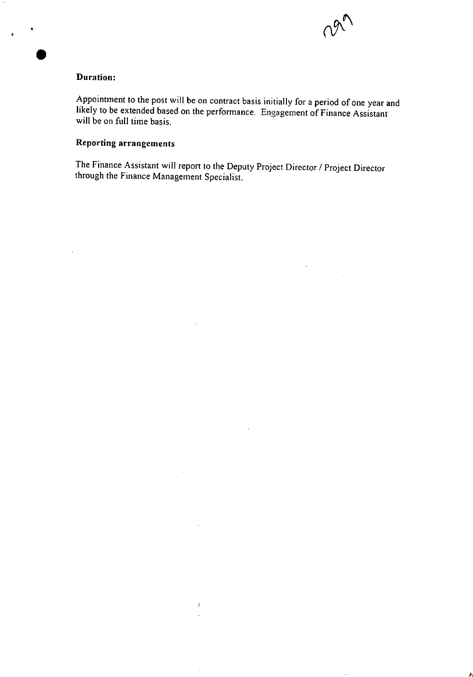

 $\ddot{\phantom{a}}$ 

# **Duration:**

 $\sim$ 

Appointment to the post will be on contract basis initially for a period of one year and likely to be extended based on the perfonnance. Engagement of Finance Assistant will be on full time basis.

# **Reporting arrangements**

The Finance Assistant will report to the Deputy Project Director / Project Director through the Finance Management Specialist.

 $\mathcal{L}$ 

 $\bar{a}$ 

 $\alpha$  $\mathcal{A}^{\mathrm{max}}$ 

 $\mathbf{H}^{\mathrm{max}}$  $\hat{A}$ 

 $\bar{z}$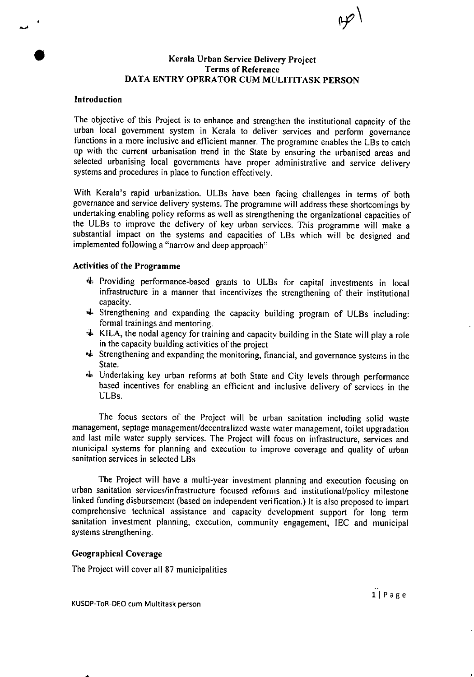#### **0 Kerala Urban Service Delivery Project Terms of Reference DATA ENTRY OPERATOR CUM MULITITASK PERSON**

#### Introduction

—a

The objective of this Project is to enhance and strengthen the institutional capacity of the urban local government system in Kerala to deliver services and perform governance functions in a more inclusive and efficient manner. The programme enables the LBs to catch up with the current urbanisation trend in the State by ensuring the urbanised areas and selected urbanising local governments have proper administrative and service delivery systems and procedures in place to function effectively.

With Kerala's rapid urbanization. ULBs have been facing challenges in terms of both governance and service delivery systems. The programme will address these shortcomings by undertaking enabling policy reforms as well as strengthening the organizational capacities of the ULBs to improve the delivery of key urban services. This programme will make a substantial impact on the systems and capacities of LBs which will be designed and implemented following a "narrow and deep approach"

#### **Activities of** the Programme

- 4 Providing performance-based grants to ULBs for capital investments in local infrastructure in a manner that incentivizes the strengthening of their institutional capacity.
- 4 Strengthening and expanding the capacity building program of ULBs including: formal trainings and mentoring.
- $\star$  KILA, the nodal agency for training and capacity building in the State will play a role in the capacity building activities of the project
- $\triangleq$  Strengthening and expanding the monitoring, financial, and governance systems in the State.
- 4 Undertaking key urban reforms at both State and City levels through performance based incentives for enabling an efficient and inclusive delivery of services in the ULBs.

The focus sectors of the Project will be urban sanitation including solid waste management, septage management/decentralized waste water management, toilet upgradation and last mile water supply services. The Project will focus on infrastructure, services and municipal systems for planning and execution to improve coverage and quality of urban sanitation services in selected LBs

The Project will have a multi-year investment planning and execution focusing on urban sanitation services/infrastructure focused reforms and institutional/policy milestone linked funding disbursement (based on independent verification.) It is also proposed to impart comprehensive technical assistance and capacity development support for long term sanitation investment planning, execution, community engagement, IEC and municipal systems strengthening.

#### Geographical Coverage

The Project will cover all 87 municipalities

KUSDP-ToR-DEO cum Multitask person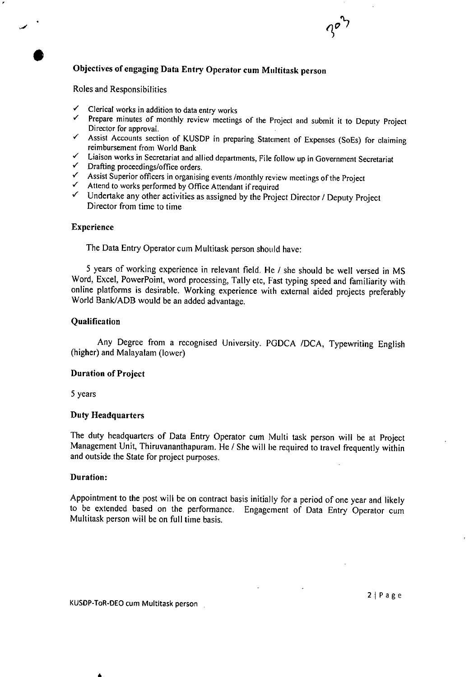# **Objectives of engaging Data Entry Operator cum Multitask person**<br>
Roles and Responsibilities<br>
V Clerical works in addition to data entry works<br>
V Prepare minutes of monthly review meetings of the Project and subm

Roles and Responsibilities

 $\bullet$ 

- 
- Prepare minutes of monthly review meetings of the Project and submit it to Deputy Project Director for approval.
- $\mathcal{L}$ Assist Accounts section of KUSDP in preparing Statement of Expenses (SoEs) for claiming reimbursement from World Bank<br>  $\checkmark$  Liaison works in Secretariat and allied departments, File for<br>  $\checkmark$  Drafting proceedings/office orders.<br>
Assist Superior officers in organising events /monthly revie<br>  $\checkmark$  Attend to reimbursement from World Bank
- " Liaison works in Secretariat and allied departments, File follow up in Government Secretariat
- Drafting proceedings/office orders.
- Assist Superior officers in organising events /monthly review meetings of the Project  $\checkmark$  Attend to works performed by Office Attendant if required
- 
- $\checkmark$  Undertake any other activities as assigned by the Project Director / Deputy Project Director from time to time

#### **Experience**

The Data Entry Operator cum Multitask person should have:

5 years of working experience in relevant field. He / she should be well versed in MS Word, Excel, PowerPoint, word processing, Tally ete, Fast typing speed and familiarity with online platforms is desirable. Working experience with external aided projects preferably World Bank/ADB would be an added advantage.

#### Qualification

Any Degree from a recognised University. PGDCA /DCA, Typewriting English (higher) and Malayalam (lower)

#### **Duration** of Project

5 years

#### **Duty Headquarters**

The duty headquarters of Data Entry Operator cum Multi task person will be at Project Management Unit, Thiruvananthapuram. He / She will be required to travel frequently within and outside the State for project purposes.

#### **Duration:**

Appointment to the post will be on contract basis initially for a period of one year and likely to be extended based on the performance. Engagement of Data Entry Operator cum Multitask person will be on full time basis.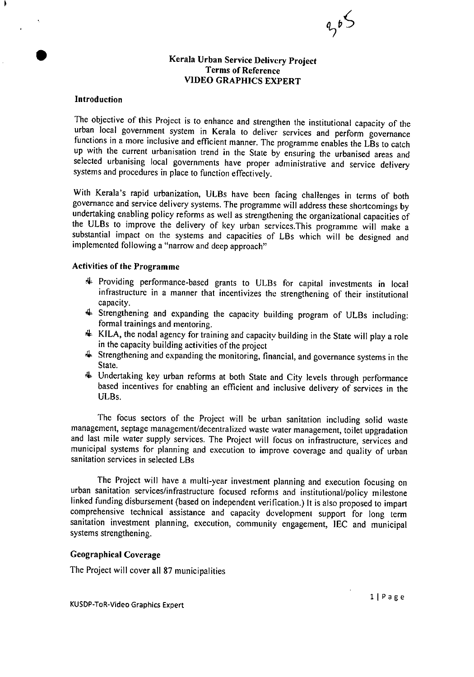

# Kerala Urban **Service Delivery Project Terms** of Reference **VIDEO GRAPHICS EXPERT**

#### **Introduction**

The objective of this Project is to enhance and strengthen the institutional capacity of the urban local government system in Kerala to deliver services and perform governance functions in a more inclusive and efficient manner. The programme enables the LBs to catch up with the current urbanisation trend in the State by ensuring the urbanised areas and selected urbanising local governments have proper administrative and service delivery systems and procedures in place to function effectively.

With Kerala's rapid urbanization, ULBs have been facing challenges in terms of both governance and service delivery systems. The programme will address these shortcomings by undertaking enabling policy reforms as well as strengthening the organizational capacities of the ULBs to improve the delivery of key urban services.This programme will make a substantial impact on the systems and capacities of LBs which will be designed and implemented following a "narrow and deep approach"

#### **Activities of the Programme**

- 4 Providing performance-based grants to ULBs for capital investments in local infrastructure in a manner that incentivizes the strengthening of their institutional capacity.
- 4 Strengthening and expanding the capacity building program of ULBs including: formal trainings and mentoring.
- 4 KILA, the nodal agency for training and capacity building in the State will play a role in the capacity building activities of the project
- 4 Strengthening and expanding the monitoring, financial, and governance systems in the State.
- 4 Undertaking key urban reforms at both State and City levels through performance based incentives for enabling an efficient and inclusive delivery of services in the ULBs.

The focus sectors of the Project will be urban sanitation including solid waste management, septage management/decentralized waste water management, toilet upgradation and last mile water supply services. The Project will focus on infrastructure, services and municipal systems for planning and execution to improve coverage and quality of urban sanitation services in selected LBs

The Project will have a multi-year investment planning and execution focusing on urban sanitation services/infrastructure focused reforms and institutional/policy milestone linked funding disbursement (based on independent verification.) It is also proposed to impart comprehensive technical assistance and capacity development support for long term sanitation investment planning, execution, community engagement, IEC and municipal systems strengthening.

# Geographical Coverage

The Project will cover all 87 municipalities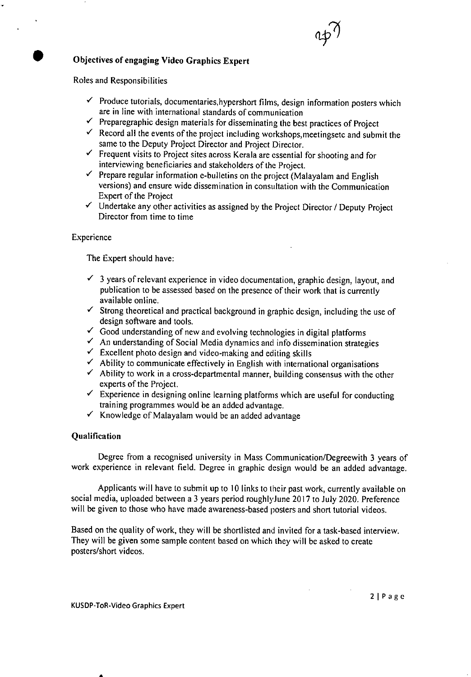# **Objectives** of engaging Video Graphics Expert

Roles and Responsibilities

- $\checkmark$  Produce tutorials, documentaries, hypershort films, design information posters which are in line with international standards of communication
- $\checkmark$  Preparegraphic design materials for disseminating the best practices of Project
- $\checkmark$  Record all the events of the project including workshops, meetingsetc and submit the same to the Deputy Project Director and Project Director.
- $\checkmark$  Frequent visits to Project sites across Kerala are essential for shooting and for interviewing beneficiaries and stakeholders of the Project.
- $\checkmark$  Prepare regular information e-bulletins on the project (Malayalam and English versions) and ensure wide dissemination in consultation with the Communication Expert of the Project
- $\checkmark$  Undertake any other activities as assigned by the Project Director / Deputy Project Director from time to time

Experience

The Expert should have:

- $\checkmark$  3 years of relevant experience in video documentation, graphic design, layout, and publication to be assessed based on the presence of their work that is currently available online.
- $\checkmark$  Strong theoretical and practical background in graphic design, including the use of design software and tools.
- $\checkmark$  Good understanding of new and evolving technologies in digital platforms
- $\checkmark$  An understanding of Social Media dynamics and info dissemination strategies
- $\checkmark$  Excellent photo design and video-making and editing skills
- $\checkmark$  Ability to communicate effectively in English with international organisations
- $\checkmark$  Ability to work in a cross-departmental manner, building consensus with the other experts of the Project.
- $\checkmark$  Experience in designing online learning platforms which are useful for conducting training programmes would be an added advantage.
- **VI** Knowledge of Malayalam would be an added advantage

#### **Qualification**

Degree from a recognised university in Mass Communication/Degreewith 3 years of work experience in relevant field. Degree in graphic design would be an added advantage.

Applicants will have to submit up to 10 links to their past work, currently available on social media, uploaded between a 3 years period roughlyJune 2017 to July 2020. Preference will be given to those who have made awareness-based posters and short tutorial videos.

Based on the quality of work, they will be shortlisted and invited for a task-based interview. They will be given some sample content based on which they will be asked to create posters/short videos.